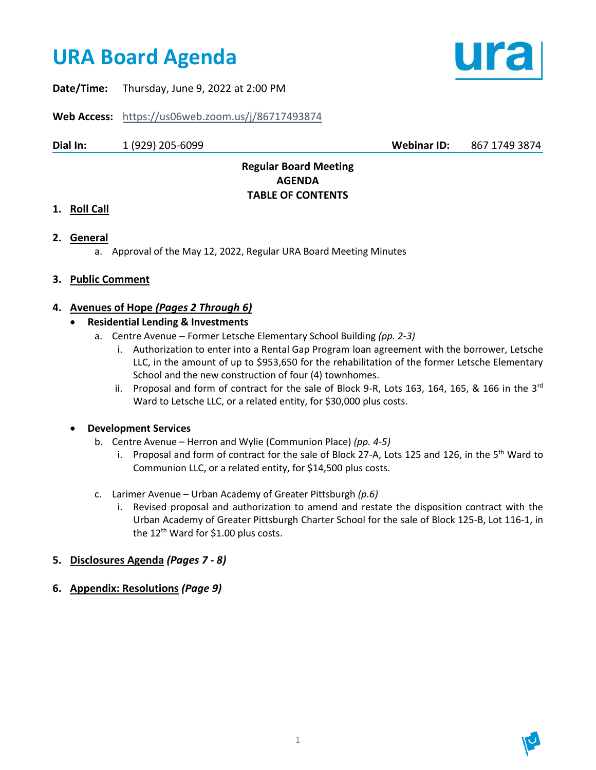# **URA Board Agenda**



**Date/Time:** Thursday, June 9, 2022 at 2:00 PM

**Web Access:** <https://us06web.zoom.us/j/86717493874>

**Dial In:** 1 (929) 205-6099 **Webinar ID:** 867 1749 3874

## **Regular Board Meeting AGENDA TABLE OF CONTENTS**

## **1. Roll Call**

- **2. General** 
	- a. Approval of the May 12, 2022, Regular URA Board Meeting Minutes

## **3. Public Comment**

## **4. Avenues of Hope** *(Pages 2 Through 6)*

## • **Residential Lending & Investments**

- a. Centre Avenue − Former Letsche Elementary School Building *(pp. 2-3)*
	- i. Authorization to enter into a Rental Gap Program loan agreement with the borrower, Letsche LLC, in the amount of up to \$953,650 for the rehabilitation of the former Letsche Elementary School and the new construction of four (4) townhomes.
	- ii. Proposal and form of contract for the sale of Block 9-R, Lots 163, 164, 165, & 166 in the 3<sup>rd</sup> Ward to Letsche LLC, or a related entity, for \$30,000 plus costs.

## • **Development Services**

- b. Centre Avenue Herron and Wylie (Communion Place) *(pp. 4-5)*
	- i. Proposal and form of contract for the sale of Block 27-A, Lots 125 and 126, in the 5<sup>th</sup> Ward to Communion LLC, or a related entity, for \$14,500 plus costs.
- c. Larimer Avenue Urban Academy of Greater Pittsburgh *(p.6)*
	- i. Revised proposal and authorization to amend and restate the disposition contract with the Urban Academy of Greater Pittsburgh Charter School for the sale of Block 125-B, Lot 116-1, in the  $12^{th}$  Ward for \$1.00 plus costs.
- **5. Disclosures Agenda** *(Pages 7 - 8)*
- **6. Appendix: Resolutions** *(Page 9)*

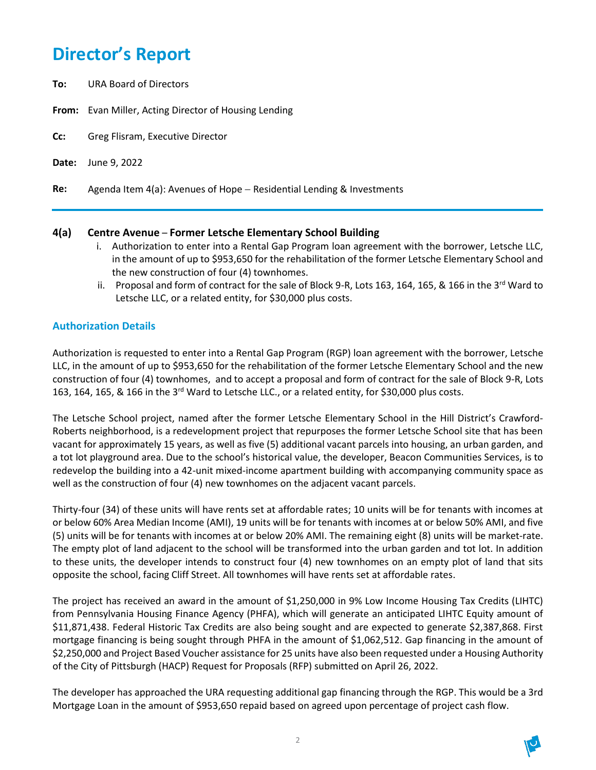## **Director's Report**

- **To:** URA Board of Directors
- **From:** Evan Miller, Acting Director of Housing Lending
- **Cc:** Greg Flisram, Executive Director
- **Date:** June 9, 2022
- **Re:** Agenda Item 4(a): Avenues of Hope − Residential Lending & Investments

## **4(a) Centre Avenue** – **Former Letsche Elementary School Building**

- i. Authorization to enter into a Rental Gap Program loan agreement with the borrower, Letsche LLC, in the amount of up to \$953,650 for the rehabilitation of the former Letsche Elementary School and the new construction of four (4) townhomes.
- ii. Proposal and form of contract for the sale of Block 9-R, Lots 163, 164, 165, & 166 in the 3<sup>rd</sup> Ward to Letsche LLC, or a related entity, for \$30,000 plus costs.

## **Authorization Details**

Authorization is requested to enter into a Rental Gap Program (RGP) loan agreement with the borrower, Letsche LLC, in the amount of up to \$953,650 for the rehabilitation of the former Letsche Elementary School and the new construction of four (4) townhomes, and to accept a proposal and form of contract for the sale of Block 9-R, Lots 163, 164, 165, & 166 in the 3rd Ward to Letsche LLC., or a related entity, for \$30,000 plus costs.

The Letsche School project, named after the former Letsche Elementary School in the Hill District's Crawford-Roberts neighborhood, is a redevelopment project that repurposes the former Letsche School site that has been vacant for approximately 15 years, as well as five (5) additional vacant parcels into housing, an urban garden, and a tot lot playground area. Due to the school's historical value, the developer, Beacon Communities Services, is to redevelop the building into a 42-unit mixed-income apartment building with accompanying community space as well as the construction of four (4) new townhomes on the adjacent vacant parcels.

Thirty-four (34) of these units will have rents set at affordable rates; 10 units will be for tenants with incomes at or below 60% Area Median Income (AMI), 19 units will be for tenants with incomes at or below 50% AMI, and five (5) units will be for tenants with incomes at or below 20% AMI. The remaining eight (8) units will be market-rate. The empty plot of land adjacent to the school will be transformed into the urban garden and tot lot. In addition to these units, the developer intends to construct four (4) new townhomes on an empty plot of land that sits opposite the school, facing Cliff Street. All townhomes will have rents set at affordable rates.

The project has received an award in the amount of \$1,250,000 in 9% Low Income Housing Tax Credits (LIHTC) from Pennsylvania Housing Finance Agency (PHFA), which will generate an anticipated LIHTC Equity amount of \$11,871,438. Federal Historic Tax Credits are also being sought and are expected to generate \$2,387,868. First mortgage financing is being sought through PHFA in the amount of \$1,062,512. Gap financing in the amount of \$2,250,000 and Project Based Voucher assistance for 25 units have also been requested under a Housing Authority of the City of Pittsburgh (HACP) Request for Proposals (RFP) submitted on April 26, 2022.

The developer has approached the URA requesting additional gap financing through the RGP. This would be a 3rd Mortgage Loan in the amount of \$953,650 repaid based on agreed upon percentage of project cash flow.

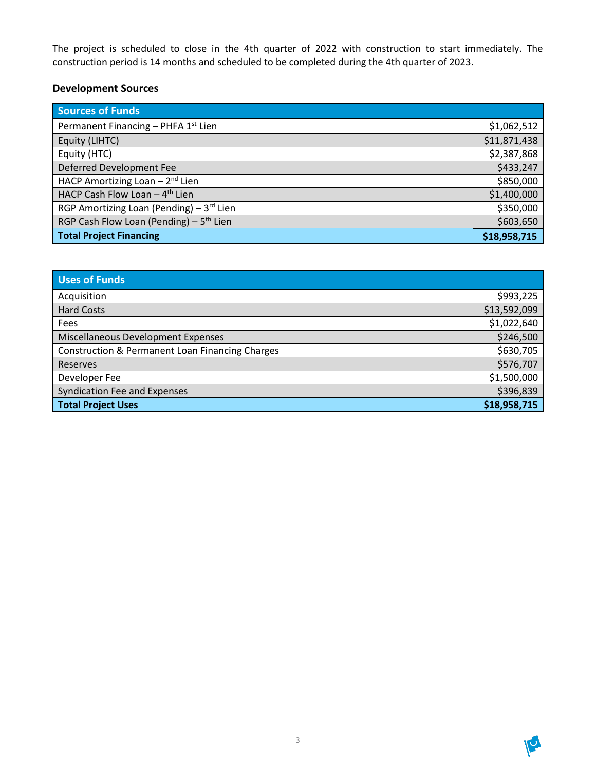The project is scheduled to close in the 4th quarter of 2022 with construction to start immediately. The construction period is 14 months and scheduled to be completed during the 4th quarter of 2023.

## **Development Sources**

| <b>Sources of Funds</b>                         |              |
|-------------------------------------------------|--------------|
| Permanent Financing - PHFA 1 <sup>st</sup> Lien | \$1,062,512  |
| Equity (LIHTC)                                  | \$11,871,438 |
| Equity (HTC)                                    | \$2,387,868  |
| Deferred Development Fee                        | \$433,247    |
| HACP Amortizing Loan $-2^{nd}$ Lien             | \$850,000    |
| HACP Cash Flow Loan - 4 <sup>th</sup> Lien      | \$1,400,000  |
| RGP Amortizing Loan (Pending) $-3^{rd}$ Lien    | \$350,000    |
| RGP Cash Flow Loan (Pending) - $5th$ Lien       | \$603,650    |
| <b>Total Project Financing</b>                  | \$18,958,715 |

| Uses of Funds                                              |              |
|------------------------------------------------------------|--------------|
| Acquisition                                                | \$993,225    |
| <b>Hard Costs</b>                                          | \$13,592,099 |
| Fees                                                       | \$1,022,640  |
| Miscellaneous Development Expenses                         | \$246,500    |
| <b>Construction &amp; Permanent Loan Financing Charges</b> | \$630,705    |
| Reserves                                                   | \$576,707    |
| Developer Fee                                              | \$1,500,000  |
| <b>Syndication Fee and Expenses</b>                        | \$396,839    |
| <b>Total Project Uses</b>                                  | \$18,958,715 |

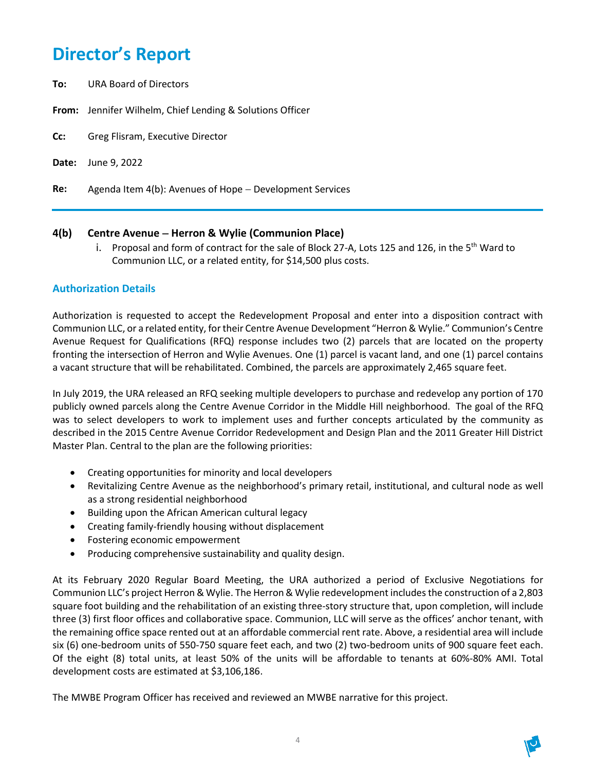## **Director's Report**

- **To:** URA Board of Directors
- **From:** Jennifer Wilhelm, Chief Lending & Solutions Officer
- **Cc:** Greg Flisram, Executive Director
- **Date:** June 9, 2022
- **Re:** Agenda Item 4(b): Avenues of Hope − Development Services

## **4(b) Centre Avenue** − **Herron & Wylie (Communion Place)**

i. Proposal and form of contract for the sale of Block 27-A, Lots 125 and 126, in the 5<sup>th</sup> Ward to Communion LLC, or a related entity, for \$14,500 plus costs.

## **Authorization Details**

Authorization is requested to accept the Redevelopment Proposal and enter into a disposition contract with Communion LLC, or a related entity, for their Centre Avenue Development "Herron & Wylie." Communion's Centre Avenue Request for Qualifications (RFQ) response includes two (2) parcels that are located on the property fronting the intersection of Herron and Wylie Avenues. One (1) parcel is vacant land, and one (1) parcel contains a vacant structure that will be rehabilitated. Combined, the parcels are approximately 2,465 square feet.

In July 2019, the URA released an RFQ seeking multiple developers to purchase and redevelop any portion of 170 publicly owned parcels along the Centre Avenue Corridor in the Middle Hill neighborhood. The goal of the RFQ was to select developers to work to implement uses and further concepts articulated by the community as described in the 2015 Centre Avenue Corridor Redevelopment and Design Plan and the 2011 Greater Hill District Master Plan. Central to the plan are the following priorities:

- Creating opportunities for minority and local developers
- Revitalizing Centre Avenue as the neighborhood's primary retail, institutional, and cultural node as well as a strong residential neighborhood
- Building upon the African American cultural legacy
- Creating family-friendly housing without displacement
- Fostering economic empowerment
- Producing comprehensive sustainability and quality design.

At its February 2020 Regular Board Meeting, the URA authorized a period of Exclusive Negotiations for Communion LLC's project Herron & Wylie. The Herron & Wylie redevelopment includes the construction of a 2,803 square foot building and the rehabilitation of an existing three-story structure that, upon completion, will include three (3) first floor offices and collaborative space. Communion, LLC will serve as the offices' anchor tenant, with the remaining office space rented out at an affordable commercial rent rate. Above, a residential area will include six (6) one-bedroom units of 550-750 square feet each, and two (2) two-bedroom units of 900 square feet each. Of the eight (8) total units, at least 50% of the units will be affordable to tenants at 60%-80% AMI. Total development costs are estimated at \$3,106,186.

The MWBE Program Officer has received and reviewed an MWBE narrative for this project.

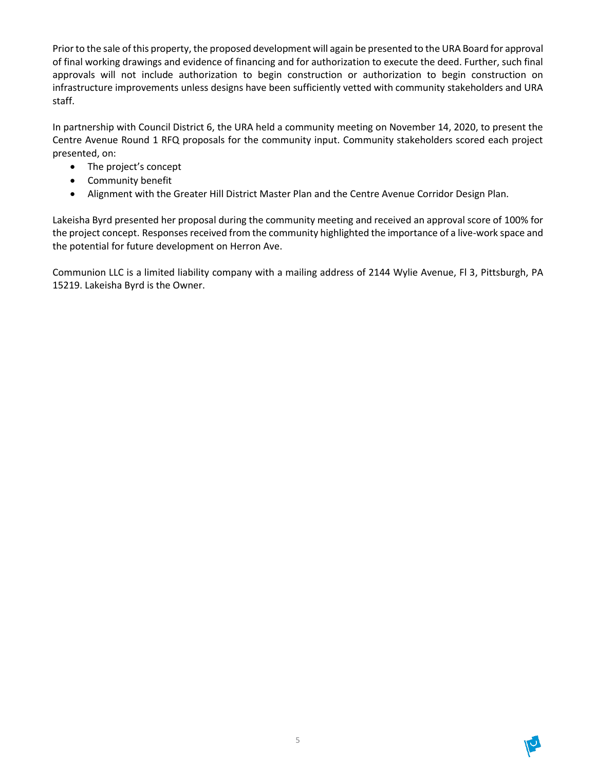Prior to the sale of this property, the proposed development will again be presented to the URA Board for approval of final working drawings and evidence of financing and for authorization to execute the deed. Further, such final approvals will not include authorization to begin construction or authorization to begin construction on infrastructure improvements unless designs have been sufficiently vetted with community stakeholders and URA staff.

In partnership with Council District 6, the URA held a community meeting on November 14, 2020, to present the Centre Avenue Round 1 RFQ proposals for the community input. Community stakeholders scored each project presented, on:

- The project's concept
- Community benefit
- Alignment with the Greater Hill District Master Plan and the Centre Avenue Corridor Design Plan.

Lakeisha Byrd presented her proposal during the community meeting and received an approval score of 100% for the project concept. Responses received from the community highlighted the importance of a live-work space and the potential for future development on Herron Ave.

Communion LLC is a limited liability company with a mailing address of 2144 Wylie Avenue, Fl 3, Pittsburgh, PA 15219. Lakeisha Byrd is the Owner.

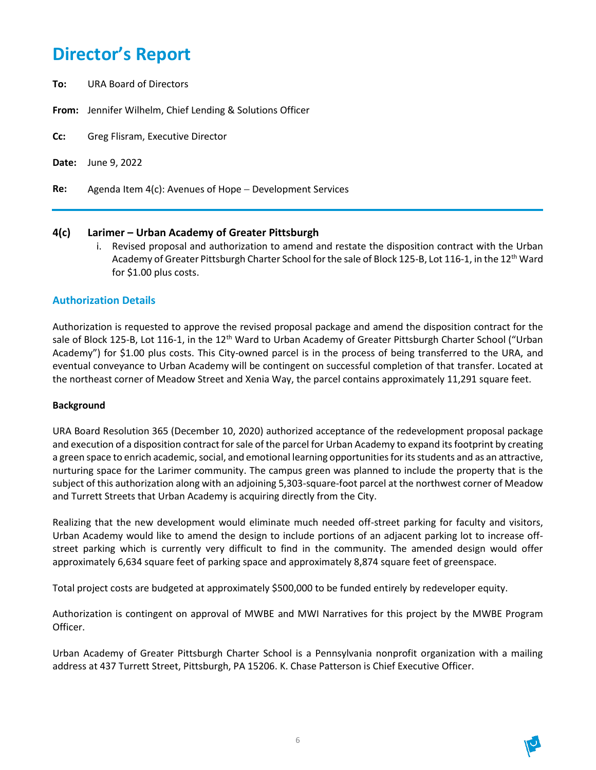## **Director's Report**

- **To:** URA Board of Directors
- **From:** Jennifer Wilhelm, Chief Lending & Solutions Officer
- **Cc:** Greg Flisram, Executive Director
- **Date:** June 9, 2022
- **Re:** Agenda Item 4(c): Avenues of Hope − Development Services

### **4(c) Larimer – Urban Academy of Greater Pittsburgh**

i. Revised proposal and authorization to amend and restate the disposition contract with the Urban Academy of Greater Pittsburgh Charter School for the sale of Block 125-B, Lot 116-1, in the 12<sup>th</sup> Ward for \$1.00 plus costs.

### **Authorization Details**

Authorization is requested to approve the revised proposal package and amend the disposition contract for the sale of Block 125-B, Lot 116-1, in the 12<sup>th</sup> Ward to Urban Academy of Greater Pittsburgh Charter School ("Urban Academy") for \$1.00 plus costs. This City-owned parcel is in the process of being transferred to the URA, and eventual conveyance to Urban Academy will be contingent on successful completion of that transfer. Located at the northeast corner of Meadow Street and Xenia Way, the parcel contains approximately 11,291 square feet.

#### **Background**

URA Board Resolution 365 (December 10, 2020) authorized acceptance of the redevelopment proposal package and execution of a disposition contract for sale of the parcel for Urban Academy to expand its footprint by creating a green space to enrich academic, social, and emotional learning opportunitiesfor its students and as an attractive, nurturing space for the Larimer community. The campus green was planned to include the property that is the subject of this authorization along with an adjoining 5,303-square-foot parcel at the northwest corner of Meadow and Turrett Streets that Urban Academy is acquiring directly from the City.

Realizing that the new development would eliminate much needed off-street parking for faculty and visitors, Urban Academy would like to amend the design to include portions of an adjacent parking lot to increase offstreet parking which is currently very difficult to find in the community. The amended design would offer approximately 6,634 square feet of parking space and approximately 8,874 square feet of greenspace.

Total project costs are budgeted at approximately \$500,000 to be funded entirely by redeveloper equity.

Authorization is contingent on approval of MWBE and MWI Narratives for this project by the MWBE Program Officer.

Urban Academy of Greater Pittsburgh Charter School is a Pennsylvania nonprofit organization with a mailing address at 437 Turrett Street, Pittsburgh, PA 15206. K. Chase Patterson is Chief Executive Officer.

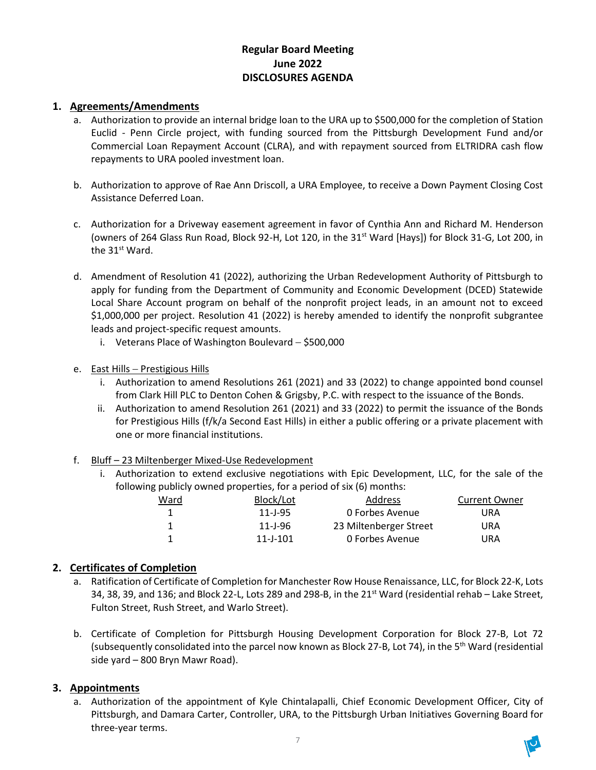## **Regular Board Meeting June 2022 DISCLOSURES AGENDA**

## **1. Agreements/Amendments**

- a. Authorization to provide an internal bridge loan to the URA up to \$500,000 for the completion of Station Euclid - Penn Circle project, with funding sourced from the Pittsburgh Development Fund and/or Commercial Loan Repayment Account (CLRA), and with repayment sourced from ELTRIDRA cash flow repayments to URA pooled investment loan.
- b. Authorization to approve of Rae Ann Driscoll, a URA Employee, to receive a Down Payment Closing Cost Assistance Deferred Loan.
- c. Authorization for a Driveway easement agreement in favor of Cynthia Ann and Richard M. Henderson (owners of 264 Glass Run Road, Block 92-H, Lot 120, in the 31<sup>st</sup> Ward [Hays]) for Block 31-G, Lot 200, in the 31<sup>st</sup> Ward.
- d. Amendment of Resolution 41 (2022), authorizing the Urban Redevelopment Authority of Pittsburgh to apply for funding from the Department of Community and Economic Development (DCED) Statewide Local Share Account program on behalf of the nonprofit project leads, in an amount not to exceed \$1,000,000 per project. Resolution 41 (2022) is hereby amended to identify the nonprofit subgrantee leads and project-specific request amounts.
	- i. Veterans Place of Washington Boulevard − \$500,000
- e. East Hills Prestigious Hills
	- i. Authorization to amend Resolutions 261 (2021) and 33 (2022) to change appointed bond counsel from Clark Hill PLC to Denton Cohen & Grigsby, P.C. with respect to the issuance of the Bonds.
	- ii. Authorization to amend Resolution 261 (2021) and 33 (2022) to permit the issuance of the Bonds for Prestigious Hills (f/k/a Second East Hills) in either a public offering or a private placement with one or more financial institutions.
- f. Bluff 23 Miltenberger Mixed-Use Redevelopment
	- i. Authorization to extend exclusive negotiations with Epic Development, LLC, for the sale of the following publicly owned properties, for a period of six (6) months:

| Ward | Block/Lot      | <b>Address</b>         | <b>Current Owner</b> |
|------|----------------|------------------------|----------------------|
|      | $11 - 1 - 95$  | 0 Forbes Avenue        | URA                  |
|      | $11 - 1 - 96$  | 23 Miltenberger Street | URA                  |
|      | $11 - 1 - 101$ | 0 Forbes Avenue        | URA                  |

## **2. Certificates of Completion**

- a. Ratification of Certificate of Completion for Manchester Row House Renaissance, LLC, for Block 22-K, Lots 34, 38, 39, and 136; and Block 22-L, Lots 289 and 298-B, in the  $21<sup>st</sup>$  Ward (residential rehab – Lake Street, Fulton Street, Rush Street, and Warlo Street).
- b. Certificate of Completion for Pittsburgh Housing Development Corporation for Block 27-B, Lot 72 (subsequently consolidated into the parcel now known as Block 27-B, Lot 74), in the 5<sup>th</sup> Ward (residential side yard – 800 Bryn Mawr Road).

### **3. Appointments**

a. Authorization of the appointment of Kyle Chintalapalli, Chief Economic Development Officer, City of Pittsburgh, and Damara Carter, Controller, URA, to the Pittsburgh Urban Initiatives Governing Board for three-year terms.

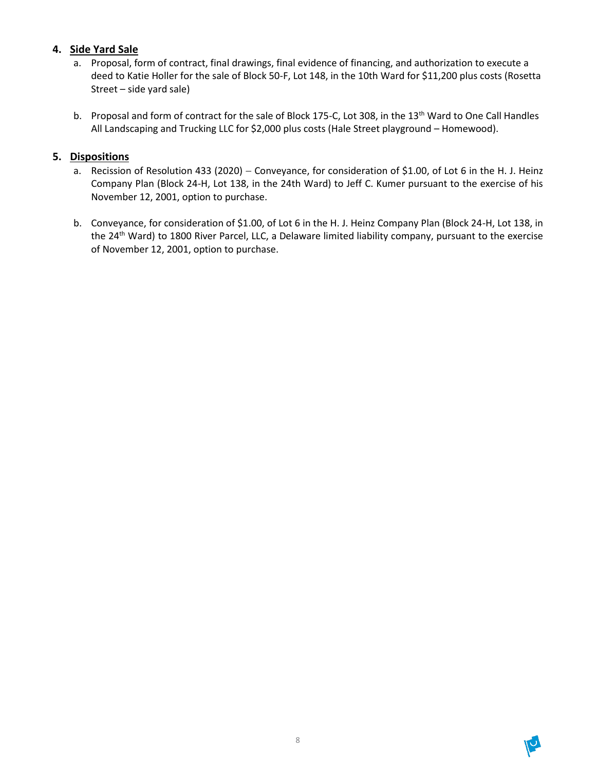## **4. Side Yard Sale**

- a. Proposal, form of contract, final drawings, final evidence of financing, and authorization to execute a deed to Katie Holler for the sale of Block 50-F, Lot 148, in the 10th Ward for \$11,200 plus costs (Rosetta Street – side yard sale)
- b. Proposal and form of contract for the sale of Block 175-C, Lot 308, in the 13<sup>th</sup> Ward to One Call Handles All Landscaping and Trucking LLC for \$2,000 plus costs (Hale Street playground – Homewood).

## **5. Dispositions**

- a. Recission of Resolution 433 (2020) Conveyance, for consideration of \$1.00, of Lot 6 in the H. J. Heinz Company Plan (Block 24-H, Lot 138, in the 24th Ward) to Jeff C. Kumer pursuant to the exercise of his November 12, 2001, option to purchase.
- b. Conveyance, for consideration of \$1.00, of Lot 6 in the H. J. Heinz Company Plan (Block 24-H, Lot 138, in the 24<sup>th</sup> Ward) to 1800 River Parcel, LLC, a Delaware limited liability company, pursuant to the exercise of November 12, 2001, option to purchase.